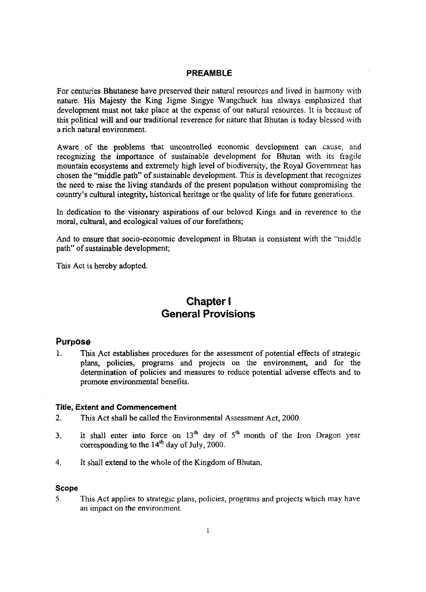#### **PREAMBLE**

For centuries Bhutanese have preserved their natural resources and lived in harmony with nature. His Majesty the King Jigme Singye Wangchuck has always emphasized that development must not take place at the expense of our natural resources. It is because of this political will and our traditional reverence for nature that Bhutan is today blessed with a rich natural environment.

Aware of the problems that uncontrolled economic development can cause, and recognizing the importance of sustainable development for Bhutan with its fragile mountain ecosystems and extremely high level of biodiversity, the Royal Government has chosen the "middle path" of sustainable development. This is development that recognizes the need *tc* raise the living standards of the present population without compromising the country's cultural integrity, historical heritage or the quality of life for future generations.

In dedication to the visionary aspirations of our beloved Kings and in reverence to the moral, cultural, and ecological values of our forefathers;

And to ensure that socio-economic development in Bhutan is consistent with the "middle path" of sustainable development;

This Act is hereby adopted.

## **Chapter l General Provisions**

#### **Purpose**

1. This Act establishes procedures for the assessment of potential effects of strategic plans, policies, programs and projects on the environment, and for the determination of policies and measures to reduce potential adverse effects and to promote environmental benefits.

#### **Title, Extent and Commencement**

- **2.** This Act shall be called the Environmental Assessment Act, 2000.
- 3. It shall enter into force on  $13<sup>th</sup>$  day of  $5<sup>th</sup>$  month of the Iron Dragon year corresponding to the  $14<sup>th</sup>$  day of July, 2000.
- 4. It shall extend to the whole of the Kingdom of Bhutan,

#### **Scope**

**5.** This Act applies to strategic plans, policies, programs and projects which may have an impact on the environment.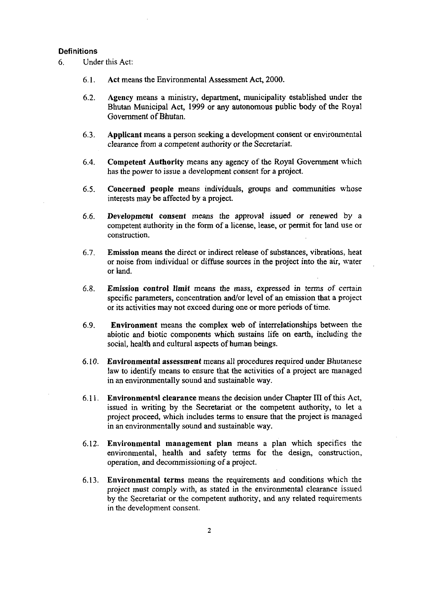#### **Definitions**

6. Under this Act:

- 6.1. Act means the Environmental Assessment Act, 2000.
- 6.2. Agency means a ministry, department, municipality established under the Bhutan Municipal Act, 1999 or any autonomous public body of the Royal Government of Bhutan.
- 6.3. Applicant means a person seeking a development consent or environmental clearance from a competent authority or the Secretariat.
- Competent Authority means any agency of the Royal Government which 6.4. has the power to issue a development consent for a project.
- $6.5.$ Concerned people means individuals, groups and communities whose interests may be affected by a project.
- Development consent means the approval issued or renewed by a 6.6. competent authority in the form of a license, lease, or permit for land use or construction.
- Emission means the direct or indirect release of substances, vibrations: heat 6.7. or noise from individual or diffkse sources in the project into the air, water or land.
- Emission control limit means the mass, expressed in terms of certain 6.8. specific parameters, concentration and/or level of an emission that a project or its activities may not exceed during one or more periods of time.
- Environment means the complex web of interrelationships between the 6.9. abiotic and biotic components which sustains life on earth, including the social, health and cultural aspects of human beings.
- Environmental assessment means all procedures required under Bhuranese  $6.10.$ law to identify means to ensure that the activities of a project are managed in an environmentally sound and sustainable way.
- Environmental clearance means the decision under Chapter **III** of this Act, 6.11. issued in writing by the Secretariat or the competent authority, to let a project proceed, which includes terms to ensure that the project is managed in an environmentally sound and sustainable way.
- $6.12.$ Environmental management plan means a plan which specifies the environmental, health and safety terms for the design, construction, operation, and decornmissioning of a project.
- Environmental terms means the requirements and conditions which the 6.13. project must comply with, as stated in the environmental clearance issued by the Secretariat or the competent authority, and any related requirements in the development consent.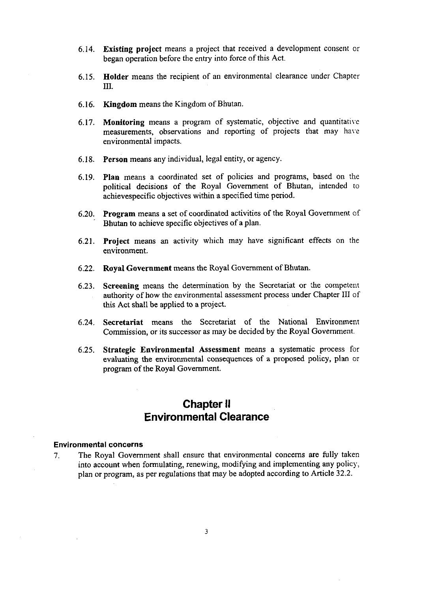- 6.14. Existing project means a project that received a development consent or began operation before the entry into force of this Act.
- 6.15. Holder means the recipient of an environmental clearance under Chapter **111.**
- 6.16. Kingdom means the Kingdom of Bhutan.
- 6.17. Monitoring means a program of systematic, objective and quantitative measurements, observations and reporting of projects that may have environmental impacts.
- 6.18. Person means any individual, legal entity, or agency.
- 6.19. Plan means a coordinated set of policies and programs, based on the political decisions of the Royal Government of Bhutan, intended to achievespecific objectives within a specified time period.
- 6.20. Program means a set of coordinated activities of the Royal Government of Bhutan to achieve specific objectives of a plan.
- 6.21. Project means an activity which may have significant effects on the environment.
- 6.22. Royal Government means the Royal Government of Bhutan.
- 6.23. Screening means the determination by the Secretariat or :he competent authority of how the environmental assessment process under Chapter 111 of this Act shall be applied to a project.
- 6.24. Secretariat means the Secretariat of the National Environment Commission, or its successor as may be decided by the Royal Government.
- 6.25. Strategic Environmental Assessment means a systematic process for evaluating the environmental consequences of a proposed policy, plan or program of the Royal Government.

## **Chapter II Environmental Clearance**

#### **Environmental concerns**

7. The Royal Government shall ensure that environmental concerns are fully taken into account when formulating, renewing, modifying and implementing any policy, plan or program, as per regulations that may be adopted according to Article 32.2.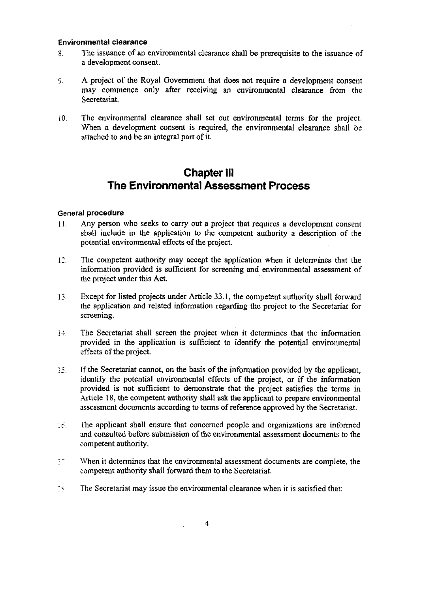#### Environmental clearance

- 8. The issuance of an environmental clearance shall be prerequisite to the issuance of a development consent.
- 9. A project of the Royal Government that does not require a development consent may commence only after receiving an environmental clearance from the Secretariat.
- 10. The environmental clearance shall set out environmental terms for the project. When a development consent is required, the environmental clearance shall be attached to and be an integral part of it.

## **Chapter Ill The Environmental Assessment Process**

#### General procedure

- 11. Any person who seeks to cany out a project that requires a development consent shall include in the application to the competent authority a description of the potential environmental effects of the project.
- 11. The competent authority may accept the application when it determines that the information provided is sufficient for screening and environmental assessment of the project under this Act.
- l?. Except for listed projects under Article 33.1, the competent authority shall forward the application and related information regarding the project to the Secretariat for screening.
- 1 The Secretariat shall screen the project when it determines that the information provided in the application is sufficient to identify the potential environmental effects of the project.
- 15. If the Secretariat cannot, on the basis of the information provided by the applicant, identify the potential environmental effects of the project, or if the information provided is not sufficient to demonstrate that the project satisfies the terms in Article 18, the competent authority shall ask the applicant to prepare environmental assessment documents according to terms of reference approved by the Secretariat.
- le. The applicant shall ensure that concerned people and organizations are informed and consulted before submission of the environmental assessment documents to the competent authority.
- 1<sup>-</sup> When it determines that the environmental assessment documents are complete, the competent authority shall forward them to the Secretariat.
- 15 The Secretariat may issue the environmental clearance when it is satisfied that: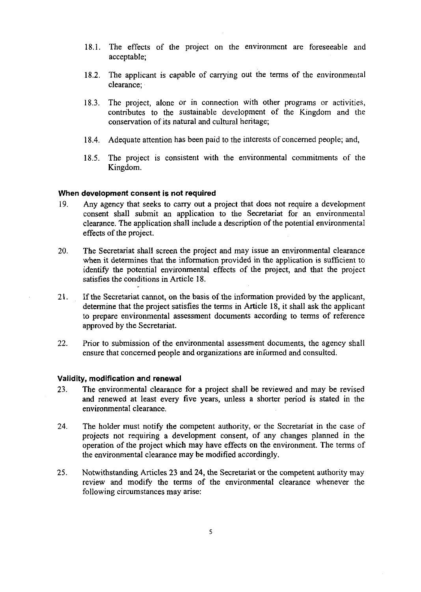- 18.1. The effects of the project on the environment are foreseeable and acceptable;
- 18.2. The applicant is capable of carrying out the terms of the environmental clearance;
- 18.3. The project, alone or in connection with other programs or activities, contributes to the sustainable development of the Kingdom and the conservation of its natural and cultural heritage;
- 18.4. Adequate attention has been paid to the interests of concerned people; and,
- 18.5. The project is consistent with the environmental commitments of the Kingdom.

#### **When development consent is not required**

- 19. Any agency that seeks to cany out a project that does not require a development consent shall submit an application to the Secretariat for an environmental clearance. The application shall include a description of the potential environmental effects of the project.
- 20. The Secretariat shall screen the project and may issue an environmental clearance when it determines that the information provided in the application is sufficient to identify the potential environmental effects of the project, and that the project satisfies the conditions in Article 18.
- 21. If the Secretariat cannot, on the basis of the information provided by the applicant, determine that the project satisfies the terms in Article 18, it shall ask the applicant to prepare environmental assessment documents according to terms of reference approved by the Secretariat.
- 22. Prior to submission of the environmental assessment documents, the agency shall ensure that concerned people and organizations are informed and consulted.

#### **Validity, modification and renewal**

- 23. The environmental clearance for a project shall be reviewed and may be revised and renewed at least every five years, unless a shorter period is stated in the environmental clearance.
- 24. The holder must notify the competent authority, or the Secretariat in the case of projects not requiring a development consent, of any changes planned in the operation of the project which may have effects on the environment. The terms of the environmental clearance may be modified accordingly.
- 25. Notwithstanding Articles **23** and 24, the Secretariat or the competent authority may review and modify the terms of the environmental clearance whenever the following circumstances may arise: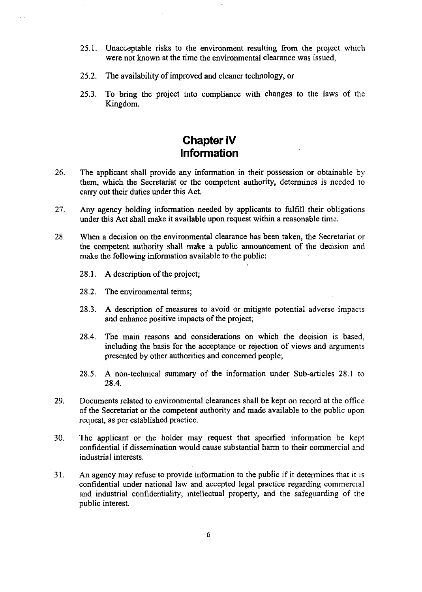- **25.1.** Unacceptable risks to the environment resulting from the project which were not known at the time the environmental clearance was issued,
- **25.2.** The availability of improved and cleaner technology, or
- **25.3.** To bring the project into compliance with changes to the laws of the Kingdom.

# **Chapter IV Information**

- *26.* The applicant shall provide any information in their possession or obtainable by them, which the Secretariat or the competent authority, determines is needed ro carry out their duties under this Act.
- **27.** Any agency holding information needed by applicants to fulfil1 their obligations under this Act shall make it available upon request within a reasonable time.
- 28. When a decision on the environmental clearance has been taken, the Secretariat or the. competent authority shall make a public announcement of the decision and make the following information available to the public:
	- **28.1.** A description of the project;
	- **28.2.** The environmental terms;
	- **28.3. A** description of measures to avoid or mitigate potential adverse impacrs and enhance positive impacts of the project;
	- **28.4.** The main reasons and considerations on which the decision is based, including the basis for the acceptance or rejection of views and arguments presented by other authorities and concerned people;
	- **28.5.** A non-technical summary of the information under Sub-articles **28.1** to **28.4.**
- **29.** Documents related to environmental clearances shall be kept on record at the office of the Secretariat or the competent authority and made available to the public upon request, as per established practice.
- 30. The applicant or the holder may request that specified information be kept confidential if dissemination would cause substantial harm to their commercial and industrial interests.
- 31. An agency may refuse to provide information to the public if it determines that it is confidential under national law and accepted legal practice regarding commercial and industrial confidentiality, intellectual property, and the safeguarding of the public interest.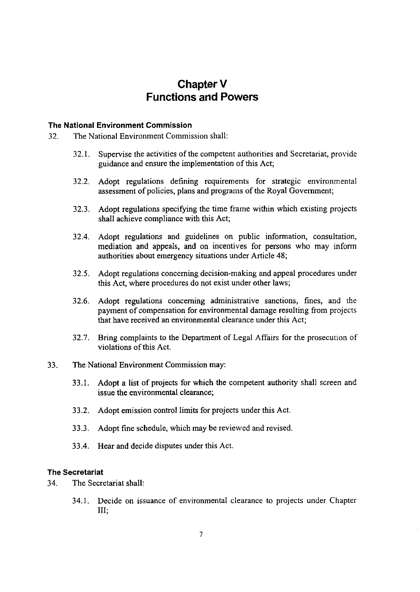# **Chapter V Functions and Powers**

#### **The National Environment Commission**

- 32. The National Environment Commission shall:
	- 32.1. Supervise the activities of the competent authorities and Secretariat, provide guidance and ensure the implementation of this Act;
	- 32.2. Adopt regulations defining requirements for strategic environmental assessment of policies, plans and programs of the Royal Government;
	- 32.3. Adopt regulations specifying the time frame within which existing projects shall achieve compliance with this Act;
	- 32.4. Adopt regulations and guidelines on public information, consultation, mediation and appeals, and on incentives for persons who may inform authorities about emergency situations under Article 48;
	- 32.5. Adopt regulations concerning decision-making and appeal procedures under this Act, where procedures do not exist under other laws;
	- 32.6. Adopt regulations concerning administrative sanctions, fines, and the payment of compensation for environmental damage resulting from projects that have received an environmental clearance under this Act;
	- 32.7. Bring complaints to the Department of Legal Affairs for the prosecution of violations of this Act.
- 33. The National Environment Commission may:
	- 33.1. Adopt a list of projects for which the competent authority shall screen and issue the environmental clearance;
	- 33.2. Adopt emission control limits for projects under this Act.
	- 33.3. Adopt fine schedule, which may be reviewed and revised
	- 33.4. Hear and decide disputes under this Act,

#### **The Secretariat**

- 34. The Secretariat shall:
	- 34.1. Decide on issuance of environmental clearance to projects under Chapter  $III:$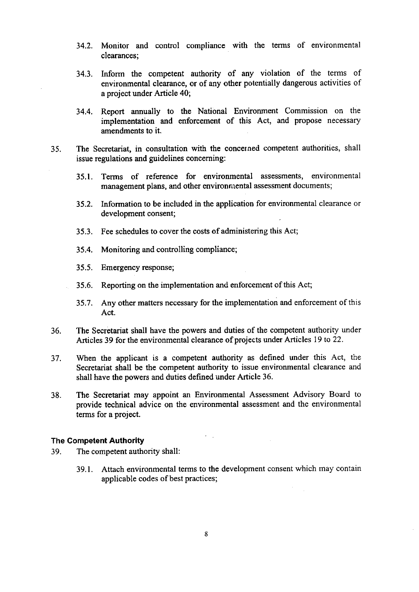- 34.2. Monitor and control compliance with the terms of environmental clearances;
- 34.3. Inform the competent authority of any violation of the terms of environmental clearance, or of any other potentially dangerous activities of a project under Article 40;
- 34.4. Report annually to the National Environment Commission on the implementation and enforcement of this Act, and propose necessary amendments to it.
- 35. The Secretariat, in consultation with the concerned competent authorities, shall issue regulations and guidelines concerning:
	- 35.1. Terms of reference for environmental assessments, environmental management plans, and other environmental assessment documents;
	- 35.2. Information to be included in the application for environmental clearance or development consent;
	- 35.3. Fee schedules to cover the costs of administering this Act;
	- 35.4. Monitoring and controlling compliance;
	- 35.5. Emergency response;
	- 35.6. Reporting on the implementation and enforcement of this Act;
	- 35.7. Any other matters necessary for the implementation and enforcement of this Act.
- 36. The Secretariat shall have the powers and duties of the competent authority under Articles 39 for the environmental clearance of projects under Articles 19 to 22.
- 37. When the applicant is a competent authority as defined under this Act, the Secretariat shall be the competent authority to issue environmental clearance and shall have the powers and duties defined under Article 36.
- 38. The Secretariat may appoint an Environmental Assessment Advisory Board to provide technical advice on the environmental assessment and the environmental terms for a project.

 $\epsilon = \frac{1}{2}$ 

#### The Competent Authority

- **39.** The competent authority shall:
	- 39.1. Attach environmental terms to the development consent which may contain applicable codes of best practices;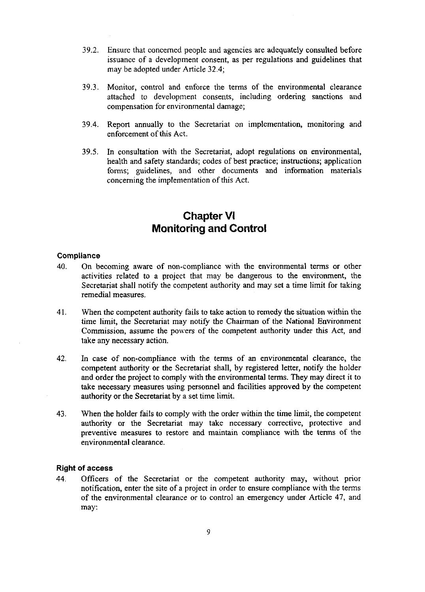- 39.2. Ensure that concerned people and agencies are adequately consulted before issuance of a development consent, as per regulations and guidelines that may be adapted under Article 32.4;
- 39.3. Monitor, control and enforce the terms of the environmental clearance attached to development consents, including ordering sanctions and compensation for environmental damage;
- 39.4. Report annually to the Secretariat on implementation, monitoring and enforcement of this Act.
- 39.5. In consultation with the Secretariat, adopt regulations on environmental, health and safety standards; codes of best practice; instructions; application forms; guidelines, and other documents and information materials concerning the implementation of this Act.

## **Chapter VI Monitoring and Control**

#### **Compliance**

- **40.** On becoming aware of non-compliance with the environmental terms or other activities related to a project that may be dangerous to the environment, the Secretariat shall notify the competent authority and may set a time limit for taking remedial measures.
- 41. When the competent authority fails to take action to remedy the situation within the time limit, the Secretariat may notify the Chairman of the National Environment Commission, assume the powers of the competent authority under this Act, and take any necessary action.
- 42. In case of non-compliance with the tenns of an environmental clearance, the competent authority or the Secretariat shall, by registered letter, notify the holder and order the project to comply with the environmental terms. They may direct it to take necessary measures using personnel and facilities approved by the competent authority or the Secretariat by a set time limit.
- 43. When the holder fails to comply with the order within the time limit, the competent authority or the Secretariat may take necessary corrective, protective and preventive measures to restore and maintain compliance with the terms of the environmental clearance.

#### **Right of access**

44. Officers of the Secretariat or the competent authority may, without prior notification, enter the site of a project in order to ensure compliance with the terms of the environmental clearance or to control an emergency under Article 47, and may: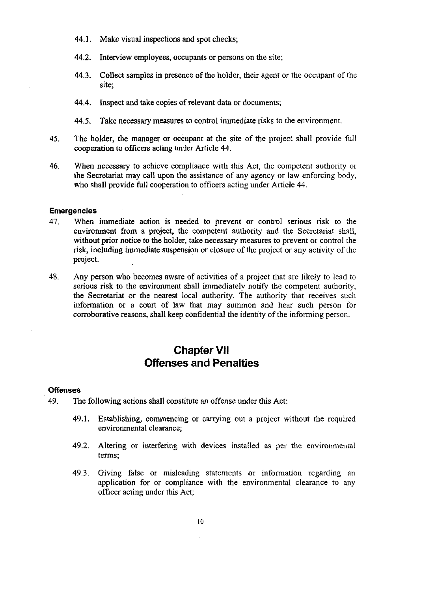- 44.1. Make visual inspections and spot checks;
- 44.2. Interview employees, occupants or persons on the site;
- 44.3. Collect samples in presence of the holder, their agent or the occupant of the site;
- 44.4. Inspect and take copies of relevant data or documents;
- 44.5. Take necessary measures to control immediate risks to the environment.
- 45. The holder, the manager or occupant at the site of the project shall provide full cooperation to officers acting under Article 44.
- 46. When necessary to achieve compliance with this Act, the competent authority or the Secretariat may call upon the assistance of any agency or law enforcing body, who shall provide full cooperation to officers acting under Article 44.

#### **Emergencies**

- 47. When immediate action is needed to prevent or control serious risk ro the envircnment from a project, the competent authority and the Secretariat shall, without prior notice to the holder, take necessary measures to prevent or control the risk, including immediate suspension or closure of the project or any activity of the project.
- 48. Any person who becomes aware of activities of a project that are likely to lead to serious risk to the environment shall immediately notify the competent authority, the Secretariat or the nearest local authority. The authority that receives such information or a court of law that may summon and hear such person for corroborative reasons, shall keep confidential the identity of the informing person.

# **Chapter VII Offenses and Penalties**

#### **Offenses**

- 49. The following actions shall constitute an offense under this Act:
	- 49.1. Establishing, commencing or canying out a project without the required environmental clearance;
	- 49.2. Altering or interfering with devices installed as per the environmental terms;
	- 49.3. Giving false or misleading statements or information regarding an application for or compliance with the environmental clearance to any officer acting under this Act;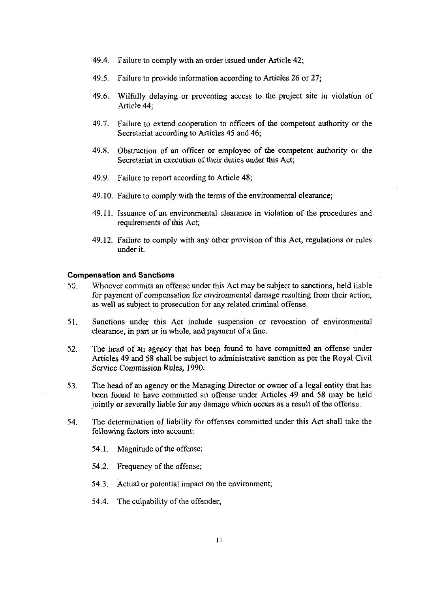- 49.4. Failure to comply with an order issued under Article 42;
- 49.5. Failure to provide information according to Articles 26 or 27;
- 49.6. Wilfully delaying or preventing access to the project site in violation of Article 44;
- 49.7. Failure to extend cooperation to officers of the competent authority or the Secretariat according to Articles 45 and 46;
- 49.8. Obstruction of an officer or employee of the competent authority or the Secretariat in execution of their duties under this Act;
- 49.9. Failure to report according to Article 48;
- 49.10. Failure to comply with the terms of the environmental clearance;
- 49.11. Issuance of an environmental clearance in violation of the procedures and requirements of this Act;
- 49.12. Failure to comply with any other provision of this Act, regulations or rules under it.

#### **Compensation and Sanctions**

- *50.* Whoever commits an offense under this Act may be subject to sanctions, held liable for payment of compensation for environmental damage resulting from their action, as well as subject to prosecution for any related criminal offense.
- 51. Sanctions under this Act include suspension or revocation of environmental clearance, in part or in whole, and payment of a fine.
- 52. The head of an agency that has been found to have committed an offense under Articles 49 and 58 shall be subject to administrative sanction as per the Royal Civil Service Commission Rules, 1990.
- **53.** The head of an agency or the Managing Director or owner of a legal entity that has been found to have committed an offense under Articles 49 and 58 may be held jointly or severally liable for any damage which occurs as a result of the offense.
- 54. The determination of liability for offenses committed under this Act shall take the following factors into account:
	- 54.1. Magnitude of the offense;
	- 54.2. Frequency of the offense;
	- 54.3. Actual or potential impact on the environment;
	- 54.4. The culpability of the offender;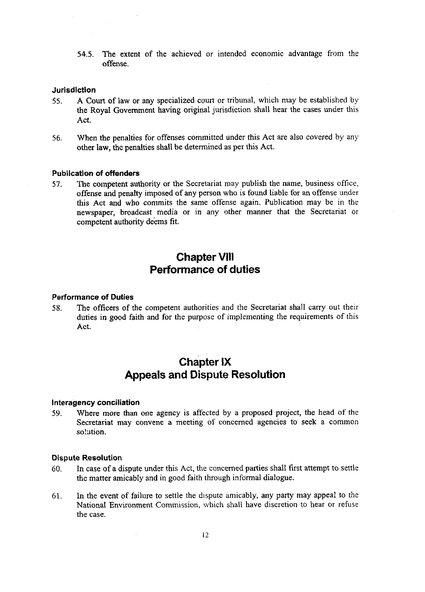**54.5.** The extent of the achieved or intended economic advantage from the offense.

#### **Jurisdiction**

- **55.** A Court of law or any specialized court or tribunal, which may be established by the Royal Government having original jurisdiction shall hear the cases under this Act.
- **56.** When the penalties for offenses committed under this Act are also covered by any other law, thc penalties shall be determined as per this Act.

### **Publication of offenders**

57. The competent authority or the Secretariat may publish the name, business office, offense and penalty imposed of any person who is found liable for an offense under this Act and who commits the same offense again. Publication may be in the newspaper, broadcast media or in any other manner that the Secretariat or competent authority deems fit.

### **Chapter Vlll Performance of duties**

#### **Performance of Duties**

*58.* The officers of the competent authorities and the Secretariat shall cany out their duties in good faith and for the purpose of implementing the requirements of this Act.

## **chapter IX Appeals and Dispute Resolution**

#### **lnteragency conciliation**

**59.** Where more than one agency is affected by a proposed project, the head of the Secretariat may convene a meeting of concemed agencies to seek a common solution.

#### **Dispute Resolution**

- *60.* In case of a dispute under this Act, the concemed parties shall first attempt to settle the matter amicably and in good faith through informal dialogue.
- 61. In the event of failure to settle the dispute amicably, any party may appeal to the National Environment Commission, which shall have discretion to hear or refuse the case.